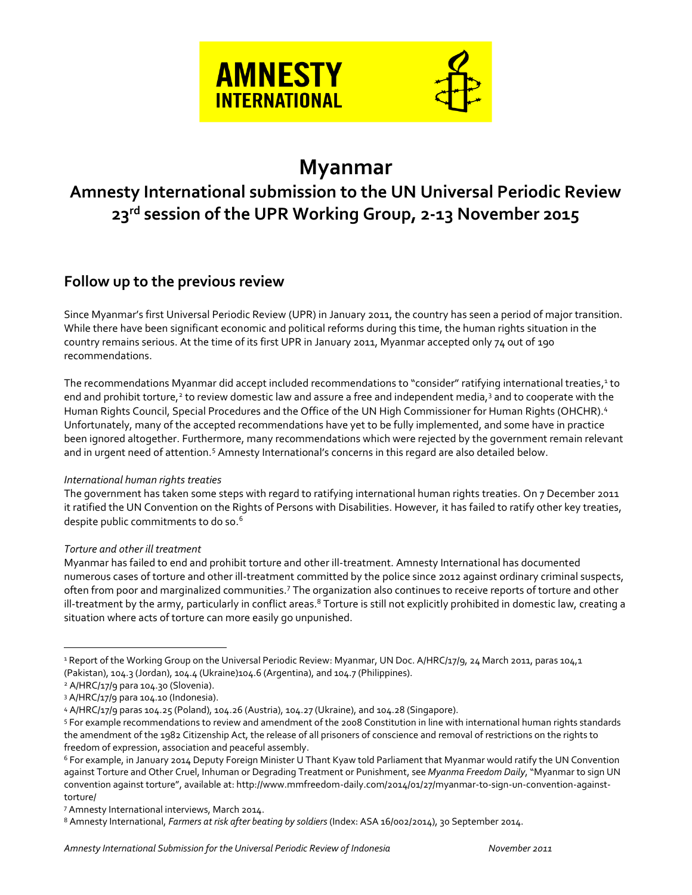

# **Myanmar**

## **Amnesty International submission to the UN Universal Periodic Review 23rd session of the UPR Working Group, 2-13 November 2015**

### **Follow up to the previous review**

Since Myanmar's first Universal Periodic Review (UPR) in January 2011, the country has seen a period of major transition. While there have been significant economic and political reforms during this time, the human rights situation in the country remains serious. At the time of its first UPR in January 2011, Myanmar accepted only 74 out of 190 recommendations.

The recommendations Myanmar did accept included recommendations to "consider" ratifying international treaties,<sup>1</sup> to end and prohibit torture,<sup>2</sup> to review domestic law and assure a free and independent media,<sup>3</sup> and to cooperate with the Human Rights Council, Special Procedures and the Office of the UN High Commissioner for Human Rights (OHCHR). 4 Unfortunately, many of the accepted recommendations have yet to be fully implemented, and some have in practice been ignored altogether. Furthermore, many recommendations which were rejected by the government remain relevant and in urgent need of attention.<sup>5</sup> Amnesty International's concerns in this regard are also detailed below.

#### *International human rights treaties*

The government has taken some steps with regard to ratifying international human rights treaties. On 7 December 2011 it ratified the UN Convention on the Rights of Persons with Disabilities. However, it has failed to ratify other key treaties, despite public commitments to do so.<sup>6</sup>

#### *Torture and other ill treatment*

Myanmar has failed to end and prohibit torture and other ill-treatment. Amnesty International has documented numerous cases of torture and other ill-treatment committed by the police since 2012 against ordinary criminal suspects, often from poor and marginalized communities.<sup>7</sup> The organization also continues to receive reports of torture and other ill-treatment by the army, particularly in conflict areas.<sup>8</sup> Torture is still not explicitly prohibited in domestic law, creating a situation where acts of torture can more easily go unpunished.

 $\overline{a}$ 

<sup>&</sup>lt;sup>1</sup> Report of the Working Group on the Universal Periodic Review: Myanmar, UN Doc. A/HRC/17/9, 24 March 2011, paras 104,1 (Pakistan), 104.3 (Jordan), 104.4 (Ukraine)104.6 (Argentina), and 104.7 (Philippines).

<sup>2</sup> A/HRC/17/9 para 104.30 (Slovenia).

<sup>3</sup> A/HRC/17/9 para 104.10 (Indonesia).

<sup>4</sup> A/HRC/17/9 paras 104.25 (Poland), 104.26 (Austria), 104.27 (Ukraine), and 104.28 (Singapore).

<sup>5</sup> For example recommendations to review and amendment of the 2008 Constitution in line with international human rights standards the amendment of the 1982 Citizenship Act, the release of all prisoners of conscience and removal of restrictions on the rights to freedom of expression, association and peaceful assembly.

<sup>6</sup> For example, in January 2014 Deputy Foreign Minister U Thant Kyaw told Parliament that Myanmar would ratify the UN Convention against Torture and Other Cruel, Inhuman or Degrading Treatment or Punishment, see *Myanma Freedom Daily*, "Myanmar to sign UN convention against torture", available at: http://www.mmfreedom-daily.com/2014/01/27/myanmar-to-sign-un-convention-againsttorture/

<sup>7</sup> Amnesty International interviews, March 2014.

<sup>8</sup> Amnesty International, *Farmers at risk after beating by soldiers* (Index: ASA 16/002/2014), 30 September 2014.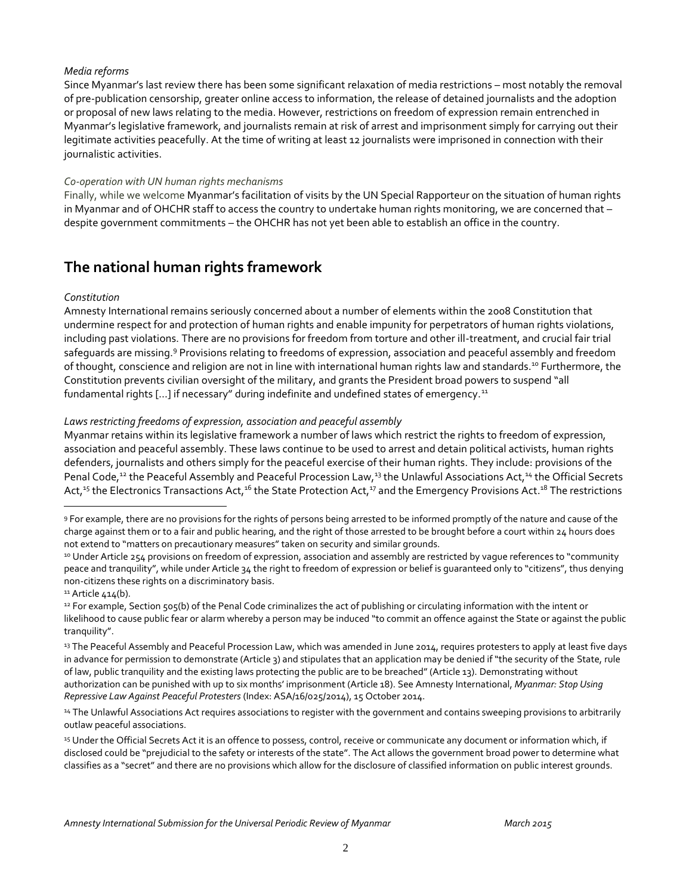#### *Media reforms*

Since Myanmar's last review there has been some significant relaxation of media restrictions – most notably the removal of pre-publication censorship, greater online access to information, the release of detained journalists and the adoption or proposal of new laws relating to the media. However, restrictions on freedom of expression remain entrenched in Myanmar's legislative framework, and journalists remain at risk of arrest and imprisonment simply for carrying out their legitimate activities peacefully. At the time of writing at least 12 journalists were imprisoned in connection with their journalistic activities.

#### *Co-operation with UN human rights mechanisms*

Finally, while we welcome Myanmar's facilitation of visits by the UN Special Rapporteur on the situation of human rights in Myanmar and of OHCHR staff to access the country to undertake human rights monitoring, we are concerned that – despite government commitments – the OHCHR has not yet been able to establish an office in the country.

### **The national human rights framework**

#### *Constitution*

Amnesty International remains seriously concerned about a number of elements within the 2008 Constitution that undermine respect for and protection of human rights and enable impunity for perpetrators of human rights violations, including past violations. There are no provisions for freedom from torture and other ill-treatment, and crucial fair trial safeguards are missing.<sup>9</sup> Provisions relating to freedoms of expression, association and peaceful assembly and freedom of thought, conscience and religion are not in line with international human rights law and standards.<sup>10</sup> Furthermore, the Constitution prevents civilian oversight of the military, and grants the President broad powers to suspend "all fundamental rights [...] if necessary" during indefinite and undefined states of emergency.<sup>11</sup>

#### *Laws restricting freedoms of expression, association and peaceful assembly*

Myanmar retains within its legislative framework a number of laws which restrict the rights to freedom of expression, association and peaceful assembly. These laws continue to be used to arrest and detain political activists, human rights defenders, journalists and others simply for the peaceful exercise of their human rights. They include: provisions of the Penal Code,<sup>12</sup> the Peaceful Assembly and Peaceful Procession Law,<sup>13</sup> the Unlawful Associations Act,<sup>14</sup> the Official Secrets Act,<sup>15</sup> the Electronics Transactions Act,<sup>16</sup> the State Protection Act,<sup>17</sup> and the Emergency Provisions Act.<sup>18</sup> The restrictions

 $\overline{a}$ 

<sup>9</sup> For example, there are no provisions for the rights of persons being arrested to be informed promptly of the nature and cause of the charge against them or to a fair and public hearing, and the right of those arrested to be brought before a court within 24 hours does not extend to "matters on precautionary measures" taken on security and similar grounds.

<sup>10</sup> Under Article 254 provisions on freedom of expression, association and assembly are restricted by vaque references to "community peace and tranquility", while under Article 34 the right to freedom of expression or belief is guaranteed only to "citizens", thus denying non-citizens these rights on a discriminatory basis.

 $11$  Article 414(b).

<sup>12</sup> For example, Section 505(b) of the Penal Code criminalizes the act of publishing or circulating information with the intent or likelihood to cause public fear or alarm whereby a person may be induced "to commit an offence against the State or against the public tranquility".

<sup>&</sup>lt;sup>13</sup> The Peaceful Assembly and Peaceful Procession Law, which was amended in June 2014, requires protesters to apply at least five days in advance for permission to demonstrate (Article 3) and stipulates that an application may be denied if "the security of the State, rule of law, public tranquility and the existing laws protecting the public are to be breached" (Article 13). Demonstrating without authorization can be punished with up to six months' imprisonment (Article 18). See Amnesty International, *Myanmar: Stop Using Repressive Law Against Peaceful Protesters* (Index: ASA/16/025/2014), 15 October 2014.

<sup>14</sup> The Unlawful Associations Act requires associations to register with the government and contains sweeping provisions to arbitrarily outlaw peaceful associations.

<sup>15</sup> Under the Official Secrets Act it is an offence to possess, control, receive or communicate any document or information which, if disclosed could be "prejudicial to the safety or interests of the state". The Act allows the government broad power to determine what classifies as a "secret" and there are no provisions which allow for the disclosure of classified information on public interest grounds.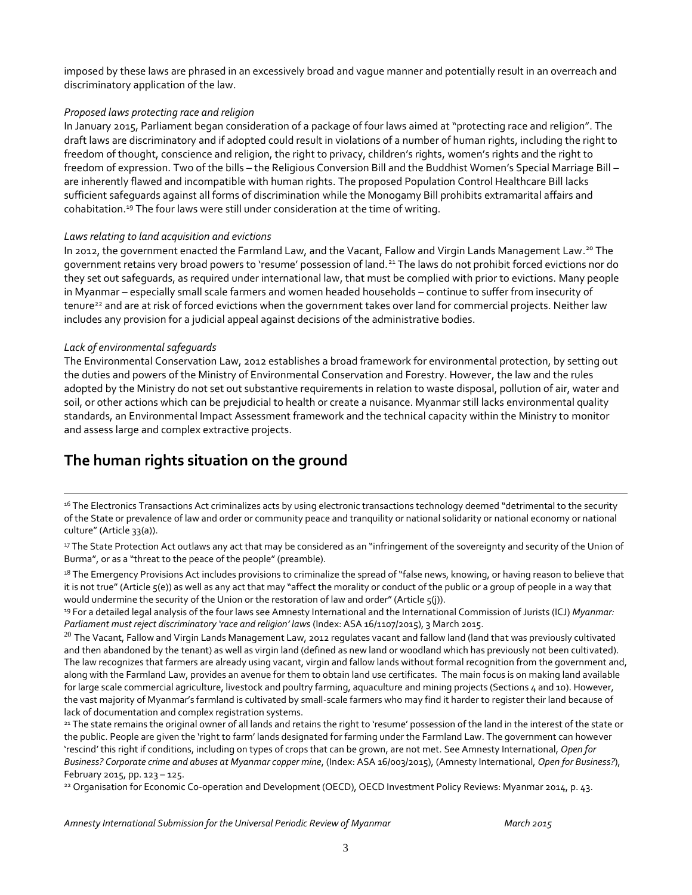imposed by these laws are phrased in an excessively broad and vague manner and potentially result in an overreach and discriminatory application of the law.

#### *Proposed laws protecting race and religion*

In January 2015, Parliament began consideration of a package of four laws aimed at "protecting race and religion". The draft laws are discriminatory and if adopted could result in violations of a number of human rights, including the right to freedom of thought, conscience and religion, the right to privacy, children's rights, women's rights and the right to freedom of expression. Two of the bills – the Religious Conversion Bill and the Buddhist Women's Special Marriage Bill – are inherently flawed and incompatible with human rights. The proposed Population Control Healthcare Bill lacks sufficient safeguards against all forms of discrimination while the Monogamy Bill prohibits extramarital affairs and cohabitation. <sup>19</sup> The four laws were still under consideration at the time of writing.

#### *Laws relating to land acquisition and evictions*

In 2012, the government enacted the Farmland Law, and the Vacant, Fallow and Virgin Lands Management Law. <sup>20</sup> The government retains very broad powers to 'resume' possession of land.<sup>21</sup> The laws do not prohibit forced evictions nor do they set out safeguards, as required under international law, that must be complied with prior to evictions. Many people in Myanmar – especially small scale farmers and women headed households – continue to suffer from insecurity of tenure<sup>22</sup> and are at risk of forced evictions when the government takes over land for commercial projects. Neither law includes any provision for a judicial appeal against decisions of the administrative bodies.

#### *Lack of environmental safeguards*

 $\overline{a}$ 

The Environmental Conservation Law, 2012 establishes a broad framework for environmental protection, by setting out the duties and powers of the Ministry of Environmental Conservation and Forestry. However, the law and the rules adopted by the Ministry do not set out substantive requirements in relation to waste disposal, pollution of air, water and soil, or other actions which can be prejudicial to health or create a nuisance. Myanmar still lacks environmental quality standards, an Environmental Impact Assessment framework and the technical capacity within the Ministry to monitor and assess large and complex extractive projects.

### **The human rights situation on the ground**

<sup>16</sup> The Electronics Transactions Act criminalizes acts by using electronic transactions technology deemed "detrimental to the security of the State or prevalence of law and order or community peace and tranquility or national solidarity or national economy or national culture" (Article 33(a)).

17 The State Protection Act outlaws any act that may be considered as an "infringement of the sovereignty and security of the Union of Burma", or as a "threat to the peace of the people" (preamble).

<sup>18</sup> The Emergency Provisions Act includes provisions to criminalize the spread of "false news, knowing, or having reason to believe that it is not true" (Article 5(e)) as well as any act that may "affect the morality or conduct of the public or a group of people in a way that would undermine the security of the Union or the restoration of law and order" (Article  $\varsigma(i)$ ).

<sup>19</sup> For a detailed legal analysis of the four laws see Amnesty International and the International Commission of Jurists (ICJ) *Myanmar: Parliament must reject discriminatory 'race and religion' laws* (Index: ASA 16/1107/2015), 3 March 2015.

 $^{20}$  The Vacant, Fallow and Virgin Lands Management Law, 2012 regulates vacant and fallow land (land that was previously cultivated and then abandoned by the tenant) as well as virgin land (defined as new land or woodland which has previously not been cultivated). The law recognizes that farmers are already using vacant, virgin and fallow lands without formal recognition from the government and, along with the Farmland Law, provides an avenue for them to obtain land use certificates. The main focus is on making land available for large scale commercial agriculture, livestock and poultry farming, aquaculture and mining projects (Sections 4 and 10). However, the vast majority of Myanmar's farmland is cultivated by small-scale farmers who may find it harder to register their land because of lack of documentation and complex registration systems.

<sup>21</sup> The state remains the original owner of all lands and retains the right to 'resume' possession of the land in the interest of the state or the public. People are given the 'right to farm' lands designated for farming under the Farmland Law. The government can however 'rescind' this right if conditions, including on types of crops that can be grown, are not met. See Amnesty International, *Open for Business? Corporate crime and abuses at Myanmar copper mine*, (Index: ASA 16/003/2015), (Amnesty International, *Open for Business?*), February 2015, pp. 123 – 125.

<sup>22</sup> Organisation for Economic Co-operation and Development (OECD), OECD Investment Policy Reviews: Myanmar 2014, p. 43.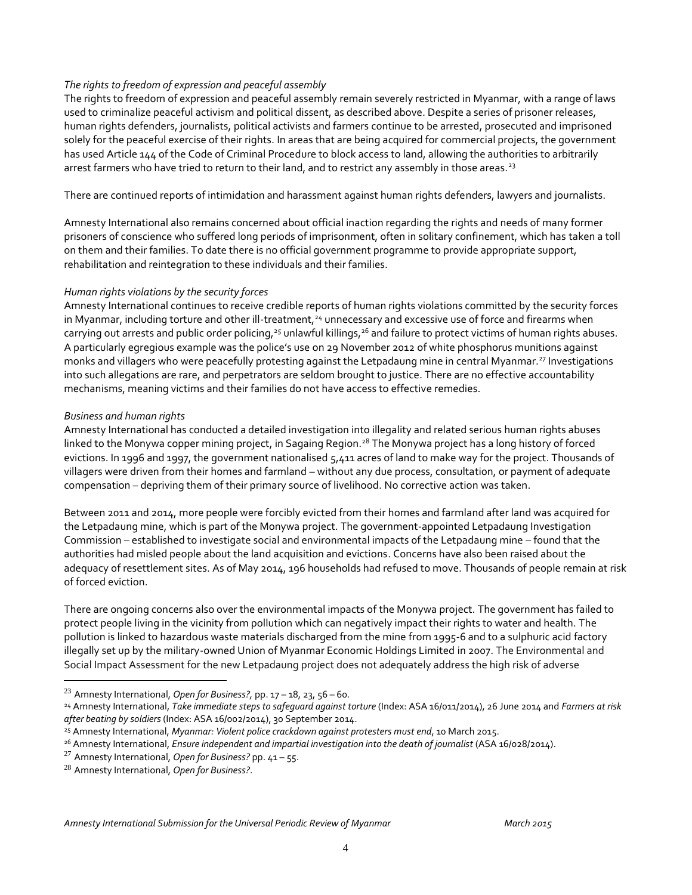#### *The rights to freedom of expression and peaceful assembly*

The rights to freedom of expression and peaceful assembly remain severely restricted in Myanmar, with a range of laws used to criminalize peaceful activism and political dissent, as described above. Despite a series of prisoner releases, human rights defenders, journalists, political activists and farmers continue to be arrested, prosecuted and imprisoned solely for the peaceful exercise of their rights. In areas that are being acquired for commercial projects, the government has used Article 144 of the Code of Criminal Procedure to block access to land, allowing the authorities to arbitrarily arrest farmers who have tried to return to their land, and to restrict any assembly in those areas.<sup>23</sup>

There are continued reports of intimidation and harassment against human rights defenders, lawyers and journalists.

Amnesty International also remains concerned about official inaction regarding the rights and needs of many former prisoners of conscience who suffered long periods of imprisonment, often in solitary confinement, which has taken a toll on them and their families. To date there is no official government programme to provide appropriate support, rehabilitation and reintegration to these individuals and their families.

#### *Human rights violations by the security forces*

Amnesty International continues to receive credible reports of human rights violations committed by the security forces in Myanmar, including torture and other ill-treatment,<sup>24</sup> unnecessary and excessive use of force and firearms when carrying out arrests and public order policing,<sup>25</sup> unlawful killings,<sup>26</sup> and failure to protect victims of human rights abuses. A particularly egregious example was the police's use on 29 November 2012 of white phosphorus munitions against monks and villagers who were peacefully protesting against the Letpadaung mine in central Myanmar.<sup>27</sup> Investigations into such allegations are rare, and perpetrators are seldom brought to justice. There are no effective accountability mechanisms, meaning victims and their families do not have access to effective remedies.

#### *Business and human rights*

 $\overline{a}$ 

Amnesty International has conducted a detailed investigation into illegality and related serious human rights abuses linked to the Monywa copper mining project, in Sagaing Region.<sup>28</sup> The Monywa project has a long history of forced evictions. In 1996 and 1997, the government nationalised 5,411 acres of land to make way for the project. Thousands of villagers were driven from their homes and farmland – without any due process, consultation, or payment of adequate compensation – depriving them of their primary source of livelihood. No corrective action was taken.

Between 2011 and 2014, more people were forcibly evicted from their homes and farmland after land was acquired for the Letpadaung mine, which is part of the Monywa project. The government-appointed Letpadaung Investigation Commission – established to investigate social and environmental impacts of the Letpadaung mine – found that the authorities had misled people about the land acquisition and evictions. Concerns have also been raised about the adequacy of resettlement sites. As of May 2014, 196 households had refused to move. Thousands of people remain at risk of forced eviction.

There are ongoing concerns also over the environmental impacts of the Monywa project. The government has failed to protect people living in the vicinity from pollution which can negatively impact their rights to water and health. The pollution is linked to hazardous waste materials discharged from the mine from 1995-6 and to a sulphuric acid factory illegally set up by the military-owned Union of Myanmar Economic Holdings Limited in 2007. The Environmental and Social Impact Assessment for the new Letpadaung project does not adequately address the high risk of adverse

<sup>23</sup> Amnesty International, *Open for Business?,* pp. 17 – 18, 23, 56 – 60.

<sup>24</sup> Amnesty International, *Take immediate steps to safeguard against torture* (Index: ASA 16/011/2014), 26 June 2014 and *Farmers at risk after beating by soldiers* (Index: ASA 16/002/2014), 30 September 2014.

<sup>25</sup> Amnesty International, *Myanmar: Violent police crackdown against protesters must end*, 10 March 2015.

<sup>26</sup> Amnesty International, *Ensure independent and impartial investigation into the death of journalist* (ASA 16/028/2014).

<sup>27</sup> Amnesty International, *Open for Business?* pp. 41 – 55.

<sup>28</sup> Amnesty International, *Open for Business?*.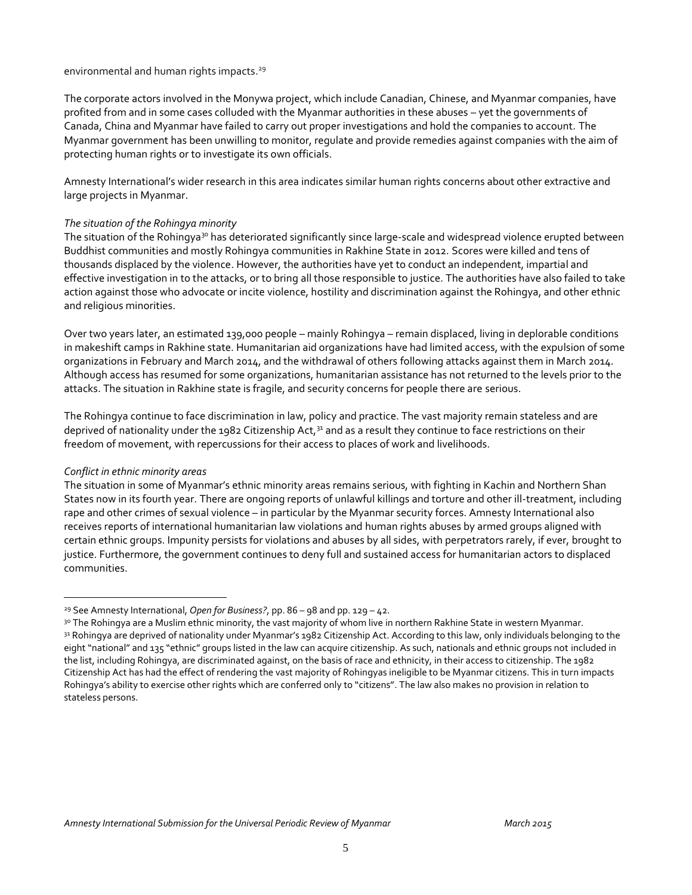#### environmental and human rights impacts. 29

The corporate actors involved in the Monywa project, which include Canadian, Chinese, and Myanmar companies, have profited from and in some cases colluded with the Myanmar authorities in these abuses – yet the governments of Canada, China and Myanmar have failed to carry out proper investigations and hold the companies to account. The Myanmar government has been unwilling to monitor, regulate and provide remedies against companies with the aim of protecting human rights or to investigate its own officials.

Amnesty International's wider research in this area indicates similar human rights concerns about other extractive and large projects in Myanmar.

#### *The situation of the Rohingya minority*

The situation of the Rohingya<sup>30</sup> has deteriorated significantly since large-scale and widespread violence erupted between Buddhist communities and mostly Rohingya communities in Rakhine State in 2012. Scores were killed and tens of thousands displaced by the violence. However, the authorities have yet to conduct an independent, impartial and effective investigation in to the attacks, or to bring all those responsible to justice. The authorities have also failed to take action against those who advocate or incite violence, hostility and discrimination against the Rohingya, and other ethnic and religious minorities.

Over two years later, an estimated 139,000 people – mainly Rohingya – remain displaced, living in deplorable conditions in makeshift camps in Rakhine state. Humanitarian aid organizations have had limited access, with the expulsion of some organizations in February and March 2014, and the withdrawal of others following attacks against them in March 2014. Although access has resumed for some organizations, humanitarian assistance has not returned to the levels prior to the attacks. The situation in Rakhine state is fragile, and security concerns for people there are serious.

The Rohingya continue to face discrimination in law, policy and practice. The vast majority remain stateless and are deprived of nationality under the 1982 Citizenship Act,<sup>31</sup> and as a result they continue to face restrictions on their freedom of movement, with repercussions for their access to places of work and livelihoods.

#### *Conflict in ethnic minority areas*

 $\overline{a}$ 

The situation in some of Myanmar's ethnic minority areas remains serious, with fighting in Kachin and Northern Shan States now in its fourth year. There are ongoing reports of unlawful killings and torture and other ill-treatment, including rape and other crimes of sexual violence – in particular by the Myanmar security forces. Amnesty International also receives reports of international humanitarian law violations and human rights abuses by armed groups aligned with certain ethnic groups. Impunity persists for violations and abuses by all sides, with perpetrators rarely, if ever, brought to justice. Furthermore, the government continues to deny full and sustained access for humanitarian actors to displaced communities.

<sup>29</sup> See Amnesty International, *Open for Business?*, pp. 86 – 98 and pp. 129 – 42.

<sup>&</sup>lt;sup>30</sup> The Rohingya are a Muslim ethnic minority, the vast majority of whom live in northern Rakhine State in western Myanmar. 31 Rohingya are deprived of nationality under Myanmar's 1982 Citizenship Act. According to this law, only individuals belonging to the eight "national" and 135 "ethnic" groups listed in the law can acquire citizenship. As such, nationals and ethnic groups not included in the list, including Rohingya, are discriminated against, on the basis of race and ethnicity, in their access to citizenship. The 1982 Citizenship Act has had the effect of rendering the vast majority of Rohingyas ineligible to be Myanmar citizens. This in turn impacts Rohingya's ability to exercise other rights which are conferred only to "citizens". The law also makes no provision in relation to stateless persons.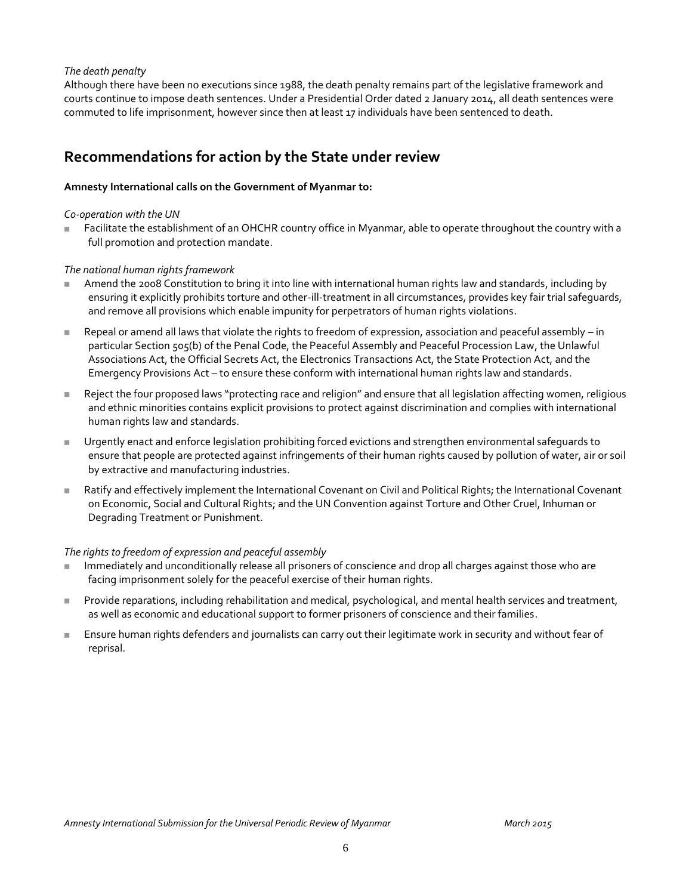#### *The death penalty*

Although there have been no executions since 1988, the death penalty remains part of the legislative framework and courts continue to impose death sentences. Under a Presidential Order dated 2 January 2014, all death sentences were commuted to life imprisonment, however since then at least 17 individuals have been sentenced to death.

### **Recommendations for action by the State under review**

#### **Amnesty International calls on the Government of Myanmar to:**

#### *Co-operation with the UN*

 Facilitate the establishment of an OHCHR country office in Myanmar, able to operate throughout the country with a full promotion and protection mandate.

#### *The national human rights framework*

- Amend the 2008 Constitution to bring it into line with international human rights law and standards, including by ensuring it explicitly prohibits torture and other-ill-treatment in all circumstances, provides key fair trial safeguards, and remove all provisions which enable impunity for perpetrators of human rights violations.
- Repeal or amend all laws that violate the rights to freedom of expression, association and peaceful assembly in particular Section 505(b) of the Penal Code, the Peaceful Assembly and Peaceful Procession Law, the Unlawful Associations Act, the Official Secrets Act, the Electronics Transactions Act, the State Protection Act, and the Emergency Provisions Act – to ensure these conform with international human rights law and standards.
- Reject the four proposed laws "protecting race and religion" and ensure that all legislation affecting women, religious and ethnic minorities contains explicit provisions to protect against discrimination and complies with international human rights law and standards.
- Urgently enact and enforce legislation prohibiting forced evictions and strengthen environmental safeguards to ensure that people are protected against infringements of their human rights caused by pollution of water, air or soil by extractive and manufacturing industries.
- Ratify and effectively implement the International Covenant on Civil and Political Rights; the International Covenant on Economic, Social and Cultural Rights; and the UN Convention against Torture and Other Cruel, Inhuman or Degrading Treatment or Punishment.

#### *The rights to freedom of expression and peaceful assembly*

- Immediately and unconditionally release all prisoners of conscience and drop all charges against those who are facing imprisonment solely for the peaceful exercise of their human rights.
- **Provide reparations, including rehabilitation and medical, psychological, and mental health services and treatment,** as well as economic and educational support to former prisoners of conscience and their families.
- Ensure human rights defenders and journalists can carry out their legitimate work in security and without fear of reprisal.